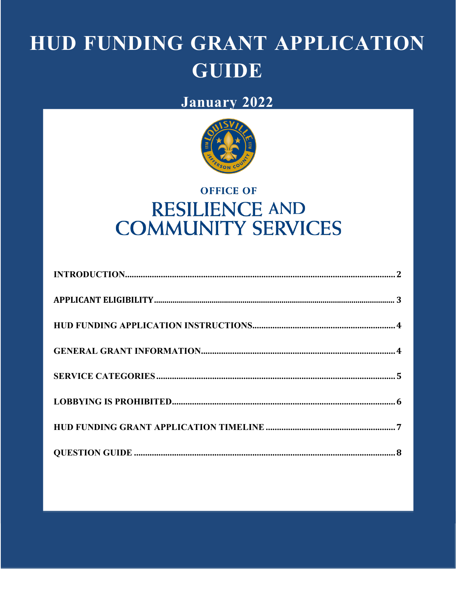# HUD FUNDING GRANT APPLICATION **GUIDE**

### January 2022



## **OFFICE OF RESILIENCE AND COMMUNITY SERVICES**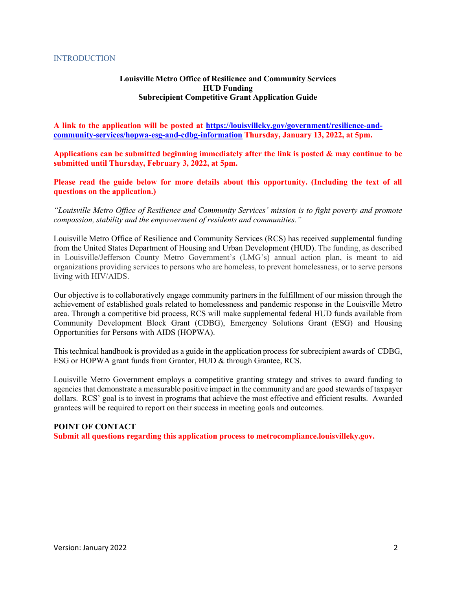#### **INTRODUCTION**

#### **Louisville Metro Office of Resilience and Community Services HUD Funding Subrecipient Competitive Grant Application Guide**

**A link to the application will be posted at https://louisvilleky.gov/government/resilience-andcommunity-services/hopwa-esg-and-cdbg-information Thursday, January 13, 2022, at 5pm.**

**Applications can be submitted beginning immediately after the link is posted & may continue to be submitted until Thursday, February 3, 2022, at 5pm.**

**Please read the guide below for more details about this opportunity. (Including the text of all questions on the application.)**

*"Louisville Metro Office of Resilience and Community Services' mission is to fight poverty and promote compassion, stability and the empowerment of residents and communities."*

Louisville Metro Office of Resilience and Community Services (RCS) has received supplemental funding from the United States Department of Housing and Urban Development (HUD). The funding, as described in Louisville/Jefferson County Metro Government's (LMG's) annual action plan, is meant to aid organizations providing services to persons who are homeless, to prevent homelessness, or to serve persons living with HIV/AIDS.

Our objective is to collaboratively engage community partners in the fulfillment of our mission through the achievement of established goals related to homelessness and pandemic response in the Louisville Metro area. Through a competitive bid process, RCS will make supplemental federal HUD funds available from Community Development Block Grant (CDBG), Emergency Solutions Grant (ESG) and Housing Opportunities for Persons with AIDS (HOPWA).

This technical handbook is provided as a guide in the application process for subrecipient awards of CDBG, ESG or HOPWA grant funds from Grantor, HUD & through Grantee, RCS.

Louisville Metro Government employs a competitive granting strategy and strives to award funding to agencies that demonstrate a measurable positive impact in the community and are good stewards of taxpayer dollars. RCS' goal is to invest in programs that achieve the most effective and efficient results. Awarded grantees will be required to report on their success in meeting goals and outcomes.

#### **POINT OF CONTACT**

**Submit all questions regarding this application process to metrocompliance.louisvilleky.gov.**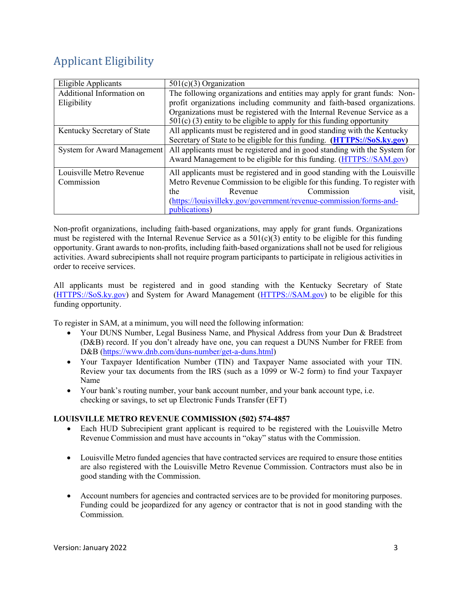### <span id="page-2-0"></span>Applicant Eligibility

| Eligible Applicants         | $501(c)(3)$ Organization                                                   |  |  |
|-----------------------------|----------------------------------------------------------------------------|--|--|
| Additional Information on   | The following organizations and entities may apply for grant funds: Non-   |  |  |
| Eligibility                 | profit organizations including community and faith-based organizations.    |  |  |
|                             | Organizations must be registered with the Internal Revenue Service as a    |  |  |
|                             | $501(c)$ (3) entity to be eligible to apply for this funding opportunity   |  |  |
| Kentucky Secretary of State | All applicants must be registered and in good standing with the Kentucky   |  |  |
|                             | Secretary of State to be eligible for this funding. (HTTPS://SoS.ky.gov)   |  |  |
| System for Award Management | All applicants must be registered and in good standing with the System for |  |  |
|                             | Award Management to be eligible for this funding. (HTTPS://SAM.gov)        |  |  |
| Louisville Metro Revenue    | All applicants must be registered and in good standing with the Louisville |  |  |
| Commission                  | Metro Revenue Commission to be eligible for this funding. To register with |  |  |
|                             | Commission<br>Revenue<br>visit,<br>the                                     |  |  |
|                             | (https://louisvilleky.gov/government/revenue-commission/forms-and-         |  |  |
|                             | publications)                                                              |  |  |

Non-profit organizations, including faith-based organizations, may apply for grant funds. Organizations must be registered with the Internal Revenue Service as a  $501(c)(3)$  entity to be eligible for this funding opportunity. Grant awards to non-profits, including faith-based organizations shall not be used for religious activities. Award subrecipients shall not require program participants to participate in religious activities in order to receive services.

All applicants must be registered and in good standing with the Kentucky Secretary of State (HTTPS://SoS.ky.gov) and System for Award Management (HTTPS://SAM.gov) to be eligible for this funding opportunity.

To register in SAM, at a minimum, you will need the following information:

- Your DUNS Number, Legal Business Name, and Physical Address from your Dun & Bradstreet (D&B) record. If you don't already have one, you can request a DUNS Number for FREE from D&B (https:/[/www.dnb.com/duns-number/get-a-duns.html\)](http://www.dnb.com/duns-number/get-a-duns.html))
- Your Taxpayer Identification Number (TIN) and Taxpayer Name associated with your TIN. Review your tax documents from the IRS (such as a 1099 or W-2 form) to find your Taxpayer Name
- Your bank's routing number, your bank account number, and your bank account type, i.e. checking or savings, to set up Electronic Funds Transfer (EFT)

#### **LOUISVILLE METRO REVENUE COMMISSION (502) 574-4857**

- Each HUD Subrecipient grant applicant is required to be registered with the Louisville Metro Revenue Commission and must have accounts in "okay" status with the Commission.
- Louisville Metro funded agencies that have contracted services are required to ensure those entities are also registered with the Louisville Metro Revenue Commission. Contractors must also be in good standing with the Commission.
- Account numbers for agencies and contracted services are to be provided for monitoring purposes. Funding could be jeopardized for any agency or contractor that is not in good standing with the Commission.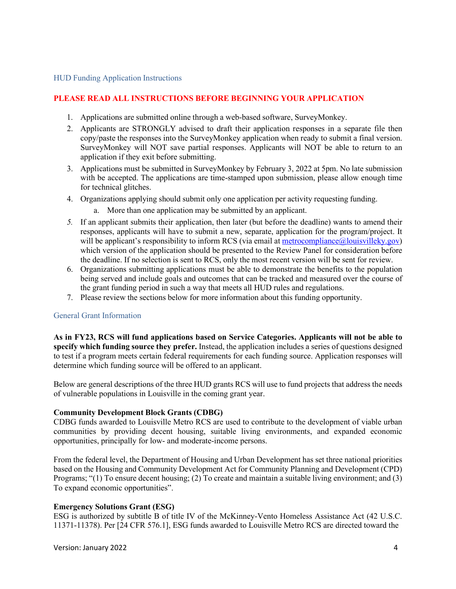#### HUD Funding Application Instructions

#### **PLEASE READ ALL INSTRUCTIONS BEFORE BEGINNING YOUR APPLICATION**

- 1. Applications are submitted online through a web-based software, SurveyMonkey.
- 2. Applicants are STRONGLY advised to draft their application responses in a separate file then copy/paste the responses into the SurveyMonkey application when ready to submit a final version. SurveyMonkey will NOT save partial responses. Applicants will NOT be able to return to an application if they exit before submitting.
- 3. Applications must be submitted in SurveyMonkey by February 3, 2022 at 5pm. No late submission with be accepted. The applications are time-stamped upon submission, please allow enough time for technical glitches.
- 4. Organizations applying should submit only one application per activity requesting funding.
	- a. More than one application may be submitted by an applicant.
- *5.* If an applicant submits their application, then later (but before the deadline) wants to amend their responses, applicants will have to submit a new, separate, application for the program/project. It will be applicant's responsibility to inform RCS (via email at metrocompliance@louisvilleky.gov) which version of the application should be presented to the Review Panel for consideration before the deadline. If no selection is sent to RCS, only the most recent version will be sent for review.
- 6. Organizations submitting applications must be able to demonstrate the benefits to the population being served and include goals and outcomes that can be tracked and measured over the course of the grant funding period in such a way that meets all HUD rules and regulations.
- 7. Please review the sections below for more information about this funding opportunity.

#### General Grant Information

**As in FY23, RCS will fund applications based on Service Categories. Applicants will not be able to specify which funding source they prefer.** Instead, the application includes a series of questions designed to test if a program meets certain federal requirements for each funding source. Application responses will determine which funding source will be offered to an applicant.

Below are general descriptions of the three HUD grants RCS will use to fund projects that address the needs of vulnerable populations in Louisville in the coming grant year.

#### **Community Development Block Grants (CDBG)**

CDBG funds awarded to Louisville Metro RCS are used to contribute to the development of viable urban communities by providing decent housing, suitable living environments, and expanded economic opportunities, principally for low- and moderate-income persons.

From the federal level, the Department of Housing and Urban Development has set three national priorities based on the Housing and Community Development Act for Community Planning and Development (CPD) Programs; "(1) To ensure decent housing; (2) To create and maintain a suitable living environment; and (3) To expand economic opportunities".

#### **Emergency Solutions Grant (ESG)**

ESG is authorized by subtitle B of title IV of the McKinney-Vento Homeless Assistance Act (42 U.S.C. 11371-11378). Per [24 CFR 576.1], ESG funds awarded to Louisville Metro RCS are directed toward the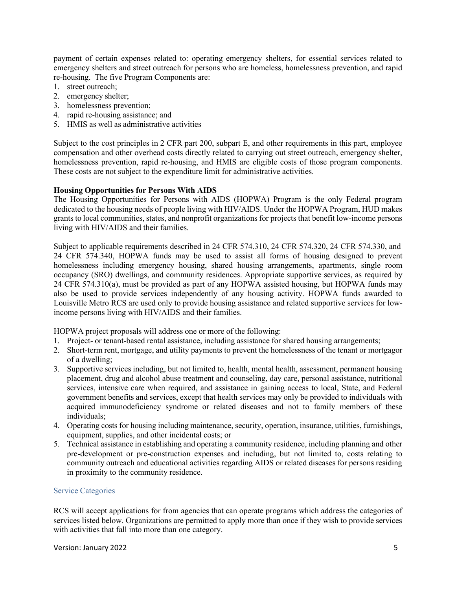payment of certain expenses related to: operating emergency shelters, for essential services related to emergency shelters and street outreach for persons who are homeless, homelessness prevention, and rapid re-housing. The five Program Components are:

- 1. street outreach;
- 2. emergency shelter;
- 3. homelessness prevention;
- 4. rapid re-housing assistance; and
- 5. HMIS as well as administrative activities

Subject to the cost principles in 2 CFR part 200, subpart E, and other requirements in this part, employee compensation and other overhead costs directly related to carrying out street outreach, emergency shelter, homelessness prevention, rapid re-housing, and HMIS are eligible costs of those program components. These costs are not subject to the expenditure limit for administrative activities.

#### **Housing Opportunities for Persons With AIDS**

The Housing Opportunities for Persons with AIDS (HOPWA) Program is the only Federal program dedicated to the housing needs of people living with HIV/AIDS. Under the HOPWA Program, HUD makes grants to local communities, states, and nonprofit organizations for projects that benefit low-income persons living with HIV/AIDS and their families.

Subject to applicable requirements described in 24 CFR 574.310, 24 CFR 574.320, 24 CFR 574.330, and 24 CFR 574.340, HOPWA funds may be used to assist all forms of housing designed to prevent homelessness including emergency housing, shared housing arrangements, apartments, single room occupancy (SRO) dwellings, and community residences. Appropriate supportive services, as required by 24 CFR 574.310(a), must be provided as part of any HOPWA assisted housing, but HOPWA funds may also be used to provide services independently of any housing activity. HOPWA funds awarded to Louisville Metro RCS are used only to provide housing assistance and related supportive services for lowincome persons living with HIV/AIDS and their families.

HOPWA project proposals will address one or more of the following:

- 1. Project- or tenant-based rental assistance, including assistance for shared housing arrangements;
- 2. Short-term rent, mortgage, and utility payments to prevent the homelessness of the tenant or mortgagor of a dwelling;
- 3. Supportive services including, but not limited to, health, mental health, assessment, permanent housing placement, drug and alcohol abuse treatment and counseling, day care, personal assistance, nutritional services, intensive care when required, and assistance in gaining access to local, State, and Federal government benefits and services, except that health services may only be provided to individuals with acquired immunodeficiency syndrome or related diseases and not to family members of these individuals;
- 4. Operating costs for housing including maintenance, security, operation, insurance, utilities, furnishings, equipment, supplies, and other incidental costs; or
- 5. Technical assistance in establishing and operating a community residence, including planning and other pre-development or pre-construction expenses and including, but not limited to, costs relating to community outreach and educational activities regarding AIDS or related diseases for persons residing in proximity to the community residence.

#### Service Categories

RCS will accept applications for from agencies that can operate programs which address the categories of services listed below. Organizations are permitted to apply more than once if they wish to provide services with activities that fall into more than one category.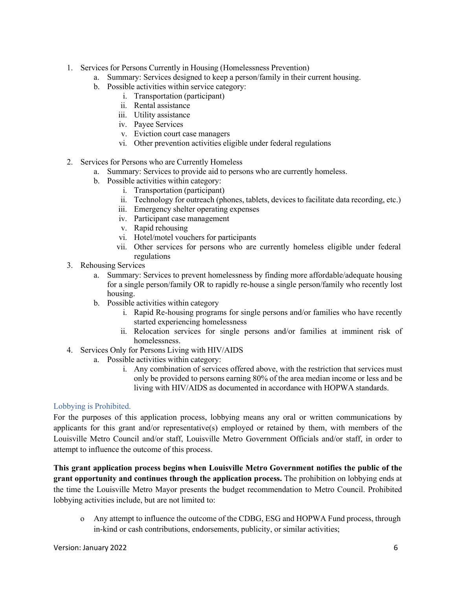- 1. Services for Persons Currently in Housing (Homelessness Prevention)
	- a. Summary: Services designed to keep a person/family in their current housing.
	- b. Possible activities within service category:
		- i. Transportation (participant)
		- ii. Rental assistance
		- iii. Utility assistance
		- iv. Payee Services
		- v. Eviction court case managers
		- vi. Other prevention activities eligible under federal regulations
- 2. Services for Persons who are Currently Homeless
	- a. Summary: Services to provide aid to persons who are currently homeless.
	- b. Possible activities within category:
		- i. Transportation (participant)
		- ii. Technology for outreach (phones, tablets, devices to facilitate data recording, etc.)
		- iii. Emergency shelter operating expenses
		- iv. Participant case management
		- v. Rapid rehousing
		- vi. Hotel/motel vouchers for participants
		- vii. Other services for persons who are currently homeless eligible under federal regulations
- 3. Rehousing Services
	- a. Summary: Services to prevent homelessness by finding more affordable/adequate housing for a single person/family OR to rapidly re-house a single person/family who recently lost housing.
	- b. Possible activities within category
		- i. Rapid Re-housing programs for single persons and/or families who have recently started experiencing homelessness
		- ii. Relocation services for single persons and/or families at imminent risk of homelessness.
- 4. Services Only for Persons Living with HIV/AIDS
	- a. Possible activities within category:
		- i. Any combination of services offered above, with the restriction that services must only be provided to persons earning 80% of the area median income or less and be living with HIV/AIDS as documented in accordance with HOPWA standards.

#### Lobbying is Prohibited.

For the purposes of this application process, lobbying means any oral or written communications by applicants for this grant and/or representative(s) employed or retained by them, with members of the Louisville Metro Council and/or staff, Louisville Metro Government Officials and/or staff, in order to attempt to influence the outcome of this process.

**This grant application process begins when Louisville Metro Government notifies the public of the grant opportunity and continues through the application process.** The prohibition on lobbying ends at the time the Louisville Metro Mayor presents the budget recommendation to Metro Council. Prohibited lobbying activities include, but are not limited to:

o Any attempt to influence the outcome of the CDBG, ESG and HOPWA Fund process, through in-kind or cash contributions, endorsements, publicity, or similar activities;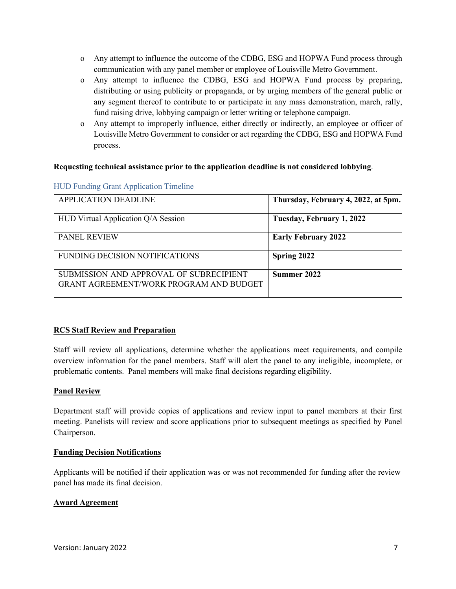- o Any attempt to influence the outcome of the CDBG, ESG and HOPWA Fund process through communication with any panel member or employee of Louisville Metro Government.
- o Any attempt to influence the CDBG, ESG and HOPWA Fund process by preparing, distributing or using publicity or propaganda, or by urging members of the general public or any segment thereof to contribute to or participate in any mass demonstration, march, rally, fund raising drive, lobbying campaign or letter writing or telephone campaign.
- o Any attempt to improperly influence, either directly or indirectly, an employee or officer of Louisville Metro Government to consider or act regarding the CDBG, ESG and HOPWA Fund process.

#### **Requesting technical assistance prior to the application deadline is not considered lobbying**.

| <b>APPLICATION DEADLINE</b>                                                               | Thursday, February 4, 2022, at 5pm. |
|-------------------------------------------------------------------------------------------|-------------------------------------|
| HUD Virtual Application Q/A Session                                                       | Tuesday, February 1, 2022           |
| <b>PANEL REVIEW</b>                                                                       | <b>Early February 2022</b>          |
| <b>FUNDING DECISION NOTIFICATIONS</b>                                                     | Spring 2022                         |
| SUBMISSION AND APPROVAL OF SUBRECIPIENT<br><b>GRANT AGREEMENT/WORK PROGRAM AND BUDGET</b> | Summer 2022                         |

#### HUD Funding Grant Application Timeline

#### **RCS Staff Review and Preparation**

Staff will review all applications, determine whether the applications meet requirements, and compile overview information for the panel members. Staff will alert the panel to any ineligible, incomplete, or problematic contents. Panel members will make final decisions regarding eligibility.

#### **Panel Review**

Department staff will provide copies of applications and review input to panel members at their first meeting. Panelists will review and score applications prior to subsequent meetings as specified by Panel Chairperson.

#### **Funding Decision Notifications**

Applicants will be notified if their application was or was not recommended for funding after the review panel has made its final decision.

#### **Award Agreement**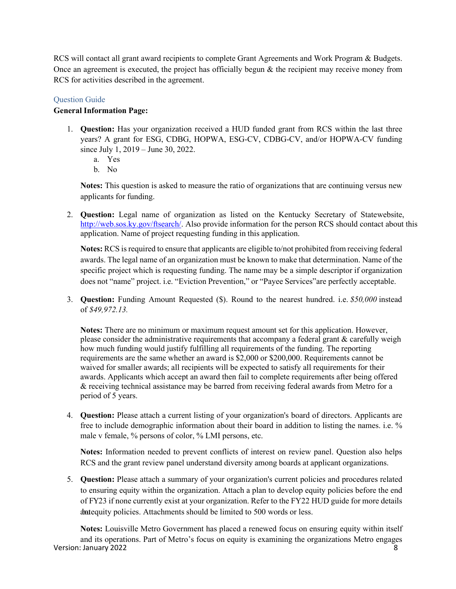RCS will contact all grant award recipients to complete Grant Agreements and Work Program & Budgets. Once an agreement is executed, the project has officially begun  $\&$  the recipient may receive money from RCS for activities described in the agreement.

#### Question Guide

#### **General Information Page:**

- 1. **Question:** Has your organization received a HUD funded grant from RCS within the last three years? A grant for ESG, CDBG, HOPWA, ESG-CV, CDBG-CV, and/or HOPWA-CV funding since July 1, 2019 – June 30, 2022.
	- a. Yes
	- b. No

**Notes:** This question is asked to measure the ratio of organizations that are continuing versus new applicants for funding.

2. **Question:** Legal name of organization as listed on the Kentucky Secretary of Statewebsite, [http://web.sos.ky.gov/ftsearch/.](http://web.sos.ky.gov/ftsearch/) Also provide information for the person RCS should contact about this application. Name of project requesting funding in this application.

**Notes:** RCS is required to ensure that applicants are eligible to/not prohibited from receiving federal awards. The legal name of an organization must be known to make that determination. Name of the specific project which is requesting funding. The name may be a simple descriptor if organization does not "name" project. i.e. "Eviction Prevention," or "Payee Services"are perfectly acceptable.

3. **Question:** Funding Amount Requested (\$). Round to the nearest hundred. i.e. *\$50,000* instead of *\$49,972.13.*

**Notes:** There are no minimum or maximum request amount set for this application. However, please consider the administrative requirements that accompany a federal grant & carefully weigh how much funding would justify fulfilling all requirements of the funding. The reporting requirements are the same whether an award is \$2,000 or \$200,000. Requirements cannot be waived for smaller awards; all recipients will be expected to satisfy all requirements for their awards. Applicants which accept an award then fail to complete requirements after being offered & receiving technical assistance may be barred from receiving federal awards from Metro for a period of 5 years.

4. **Question:** Please attach a current listing of your organization's board of directors. Applicants are free to include demographic information about their board in addition to listing the names. i.e. % male v female, % persons of color, % LMI persons, etc.

**Notes:** Information needed to prevent conflicts of interest on review panel. Question also helps RCS and the grant review panel understand diversity among boards at applicant organizations.

5. **Question:** Please attach a summary of your organization's current policies and procedures related to ensuring equity within the organization. Attach a plan to develop equity policies before the end of FY23 if none currently exist at your organization. Refer to the FY22 HUD guide for more details dot about a bounded be limited to 500 words or less.

Version: January 2022 8 **Notes:** Louisville Metro Government has placed a renewed focus on ensuring equity within itself and its operations. Part of Metro's focus on equity is examining the organizations Metro engages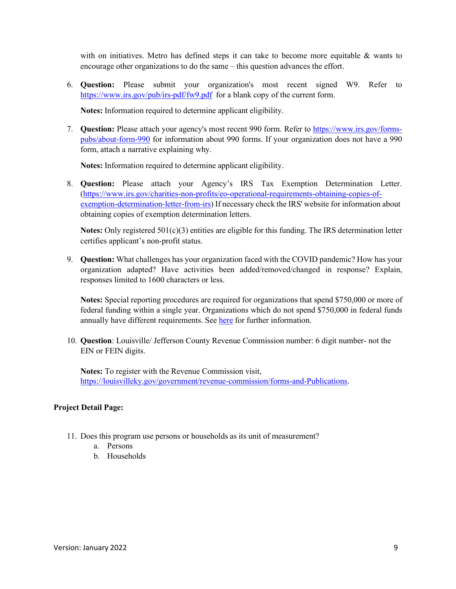with on initiatives. Metro has defined steps it can take to become more equitable  $\&$  wants to encourage other organizations to do the same – this question advances the effort.

6. **Question:** Please submit your organization's most recent signed W9. Refer to https:/[/www.irs.gov/pub/irs-pdf/fw9.pdf](http://www.irs.gov/pub/irs-pdf/fw9.pdf) for a blank copy of the current form.

**Notes:** Information required to determine applicant eligibility.

7. **Question:** Please attach your agency's most recent 990 form. Refer to https:/[/www.irs.gov/forms](http://www.irs.gov/forms-)pubs/about-form-990 for information about 990 forms. If your organization does not have a 990 form, attach a narrative explaining why.

**Notes:** Information required to determine applicant eligibility.

8. **Question:** Please attach your Agency's IRS Tax Exemption Determination Letter. (http[s://www.irs.gov/charities-non-profits/eo-operational-requirements-obtaining-copies-of](http://www.irs.gov/charities-non-profits/eo-operational-requirements-obtaining-copies-of-)exemption-determination-letter-from-irs) If necessary check the IRS' website for information about obtaining copies of exemption determination letters.

**Notes:** Only registered 501(c)(3) entities are eligible for this funding. The IRS determination letter certifies applicant's non-profit status.

9. **Question:** What challenges has your organization faced with the COVID pandemic? How has your organization adapted? Have activities been added/removed/changed in response? Explain, responses limited to 1600 characters or less.

**Notes:** Special reporting procedures are required for organizations that spend \$750,000 or more of federal funding within a single year. Organizations which do not spend \$750,000 in federal funds annually have different requirements. See here for further information.

10. **Question**: Louisville/ Jefferson County Revenue Commission number: 6 digit number- not the EIN or FEIN digits.

**Notes:** To register with the Revenue Commission visit, [https://louisvilleky.gov/government/revenue-commission/forms-and-Publications.](https://louisvilleky.gov/government/revenue-commission/forms-and-Publications)

#### **Project Detail Page:**

- 11. Does this program use persons or households as its unit of measurement?
	- a. Persons
	- b. Households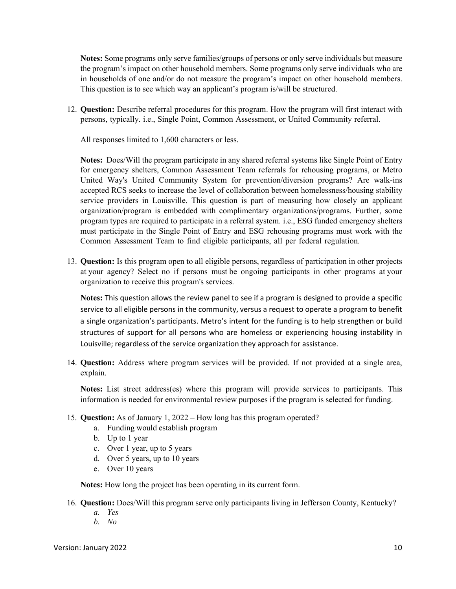**Notes:** Some programs only serve families/groups of persons or only serve individuals but measure the program's impact on other household members. Some programs only serve individuals who are in households of one and/or do not measure the program's impact on other household members. This question is to see which way an applicant's program is/will be structured.

12. **Question:** Describe referral procedures for this program. How the program will first interact with persons, typically. i.e., Single Point, Common Assessment, or United Community referral.

All responses limited to 1,600 characters or less.

**Notes:** Does/Will the program participate in any shared referral systems like Single Point of Entry for emergency shelters, Common Assessment Team referrals for rehousing programs, or Metro United Way's United Community System for prevention/diversion programs? Are walk-ins accepted RCS seeks to increase the level of collaboration between homelessness/housing stability service providers in Louisville. This question is part of measuring how closely an applicant organization/program is embedded with complimentary organizations/programs. Further, some program types are required to participate in a referral system. i.e., ESG funded emergency shelters must participate in the Single Point of Entry and ESG rehousing programs must work with the Common Assessment Team to find eligible participants, all per federal regulation.

13. **Question:** Is this program open to all eligible persons, regardless of participation in other projects at your agency? Select no if persons must be ongoing participants in other programs at your organization to receive this program's services.

**Notes:** This question allows the review panel to see if a program is designed to provide a specific service to all eligible persons in the community, versus a request to operate a program to benefit a single organization's participants. Metro's intent for the funding is to help strengthen or build structures of support for all persons who are homeless or experiencing housing instability in Louisville; regardless of the service organization they approach for assistance.

14. **Question:** Address where program services will be provided. If not provided at a single area, explain.

**Notes:** List street address(es) where this program will provide services to participants. This information is needed for environmental review purposes if the program is selected for funding.

- 15. **Question:** As of January 1, 2022 How long has this program operated?
	- a. Funding would establish program
	- b. Up to 1 year
	- c. Over 1 year, up to 5 years
	- d. Over 5 years, up to 10 years
	- e. Over 10 years

**Notes:** How long the project has been operating in its current form.

- 16. **Question:** Does/Will this program serve only participants living in Jefferson County, Kentucky?
	- *a. Yes*
	- *b. No*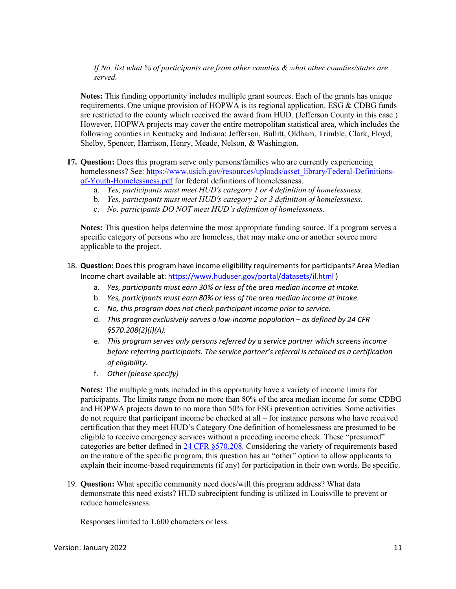*If No, list what % of participants are from other counties & what other counties/states are served.*

**Notes:** This funding opportunity includes multiple grant sources. Each of the grants has unique requirements. One unique provision of HOPWA is its regional application. ESG  $&$  CDBG funds are restricted to the county which received the award from HUD. (Jefferson County in this case.) However, HOPWA projects may cover the entire metropolitan statistical area, which includes the following counties in Kentucky and Indiana: Jefferson, Bullitt, Oldham, Trimble, Clark, Floyd, Shelby, Spencer, Harrison, Henry, Meade, Nelson, & Washington.

- **17. Question:** Does this program serve only persons/families who are currently experiencing homelessness? See: https:/[/www.usich.gov/resources/uploads/asset\\_library/Federal-Definitions](http://www.usich.gov/resources/uploads/asset_library/Federal-Definitions-)of-Youth-Homelessness.pdf for federal definitions of homelessness.
	- a. *Yes, participants must meet HUD's category 1 or 4 definition of homelessness.*
	- b. *Yes, participants must meet HUD's category 2 or 3 definition of homelessness.*
	- c. *No, participants DO NOT meet HUD's definition of homelessness.*

**Notes:** This question helps determine the most appropriate funding source. If a program serves a specific category of persons who are homeless, that may make one or another source more applicable to the project.

- 18. **Question:** Does this program have income eligibility requirements for participants? Area Median Income chart available at: https:/[/www.huduser.gov/portal/datasets/il.html](http://www.huduser.gov/portal/datasets/il.html) )
	- a. *Yes, participants must earn 30% or less of the area median income at intake.*
	- b. *Yes, participants must earn 80% or less of the area median income at intake.*
	- c. *No, this program does not check participant income prior to service.*
	- d. *This program exclusively serves a low-income population – as defined by 24 CFR §570.208(2)(i)(A).*
	- e. *This program serves only persons referred by a service partner which screens income before referring participants. The service partner's referral is retained as a certification of eligibility.*
	- f. *Other (please specify)*

**Notes:** The multiple grants included in this opportunity have a variety of income limits for participants. The limits range from no more than 80% of the area median income for some CDBG and HOPWA projects down to no more than 50% for ESG prevention activities. Some activities do not require that participant income be checked at all – for instance persons who have received certification that they meet HUD's Category One definition of homelessness are presumed to be eligible to receive emergency services without a preceding income check. These "presumed" categories are better defined in 24 CFR §570.208. Considering the variety of requirements based on the nature of the specific program, this question has an "other" option to allow applicants to explain their income-based requirements (if any) for participation in their own words. Be specific.

19. **Question:** What specific community need does/will this program address? What data demonstrate this need exists? HUD subrecipient funding is utilized in Louisville to prevent or reduce homelessness.

Responses limited to 1,600 characters or less.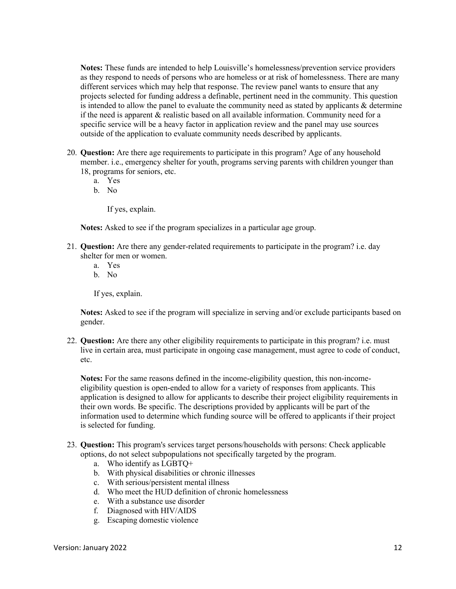**Notes:** These funds are intended to help Louisville's homelessness/prevention service providers as they respond to needs of persons who are homeless or at risk of homelessness. There are many different services which may help that response. The review panel wants to ensure that any projects selected for funding address a definable, pertinent need in the community. This question is intended to allow the panel to evaluate the community need as stated by applicants  $\&$  determine if the need is apparent & realistic based on all available information. Community need for a specific service will be a heavy factor in application review and the panel may use sources outside of the application to evaluate community needs described by applicants.

- 20. **Question:** Are there age requirements to participate in this program? Age of any household member. i.e., emergency shelter for youth, programs serving parents with children younger than 18, programs for seniors, etc.
	- a. Yes
	- b. No

If yes, explain.

**Notes:** Asked to see if the program specializes in a particular age group.

- 21. **Question:** Are there any gender-related requirements to participate in the program? i.e. day shelter for men or women.
	- a. Yes
	- b. No

If yes, explain.

**Notes:** Asked to see if the program will specialize in serving and/or exclude participants based on gender.

22. **Question:** Are there any other eligibility requirements to participate in this program? i.e. must live in certain area, must participate in ongoing case management, must agree to code of conduct, etc.

**Notes:** For the same reasons defined in the income-eligibility question, this non-incomeeligibility question is open-ended to allow for a variety of responses from applicants. This application is designed to allow for applicants to describe their project eligibility requirements in their own words. Be specific. The descriptions provided by applicants will be part of the information used to determine which funding source will be offered to applicants if their project is selected for funding.

- 23. **Question:** This program's services target persons/households with persons: Check applicable options, do not select subpopulations not specifically targeted by the program.
	- a. Who identify as LGBTQ+
	- b. With physical disabilities or chronic illnesses
	- c. With serious/persistent mental illness
	- d. Who meet the HUD definition of chronic homelessness
	- e. With a substance use disorder
	- f. Diagnosed with HIV/AIDS
	- g. Escaping domestic violence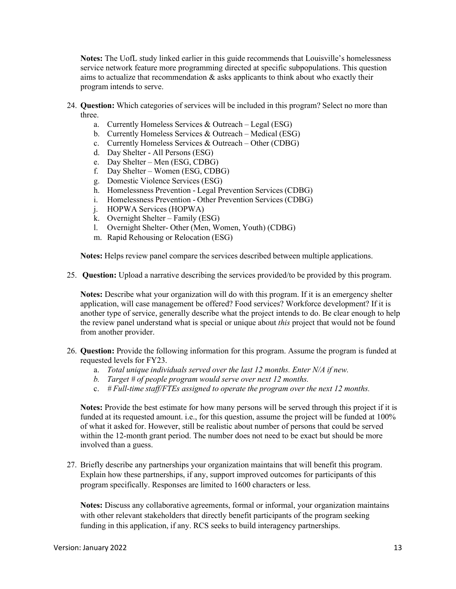**Notes:** The UofL study linked earlier in this guide recommends that Louisville's homelessness service network feature more programming directed at specific subpopulations. This question aims to actualize that recommendation  $\&$  asks applicants to think about who exactly their program intends to serve.

- 24. **Question:** Which categories of services will be included in this program? Select no more than three.
	- a. Currently Homeless Services & Outreach Legal (ESG)
	- b. Currently Homeless Services & Outreach Medical (ESG)
	- c. Currently Homeless Services & Outreach Other (CDBG)
	- d. Day Shelter All Persons (ESG)
	- e. Day Shelter Men (ESG, CDBG)
	- f. Day Shelter Women (ESG, CDBG)
	- g. Domestic Violence Services (ESG)
	- h. Homelessness Prevention Legal Prevention Services (CDBG)
	- i. Homelessness Prevention Other Prevention Services (CDBG)
	- j. HOPWA Services (HOPWA)
	- k. Overnight Shelter Family (ESG)
	- l. Overnight Shelter- Other (Men, Women, Youth) (CDBG)
	- m. Rapid Rehousing or Relocation (ESG)

**Notes:** Helps review panel compare the services described between multiple applications.

25. **Question:** Upload a narrative describing the services provided/to be provided by this program.

**Notes:** Describe what your organization will do with this program. If it is an emergency shelter application, will case management be offered? Food services? Workforce development? If it is another type of service, generally describe what the project intends to do. Be clear enough to help the review panel understand what is special or unique about *this* project that would not be found from another provider.

- 26. **Question:** Provide the following information for this program. Assume the program is funded at requested levels for FY23.
	- a. *Total unique individuals served over the last 12 months. Enter N/A if new.*
	- *b. Target # of people program would serve over next 12 months.*
	- c. *# Full-time staff/FTEs assigned to operate the program over the next 12 months.*

**Notes:** Provide the best estimate for how many persons will be served through this project if it is funded at its requested amount. i.e., for this question, assume the project will be funded at 100% of what it asked for. However, still be realistic about number of persons that could be served within the 12-month grant period. The number does not need to be exact but should be more involved than a guess.

27. Briefly describe any partnerships your organization maintains that will benefit this program. Explain how these partnerships, if any, support improved outcomes for participants of this program specifically. Responses are limited to 1600 characters or less.

**Notes:** Discuss any collaborative agreements, formal or informal, your organization maintains with other relevant stakeholders that directly benefit participants of the program seeking funding in this application, if any. RCS seeks to build interagency partnerships.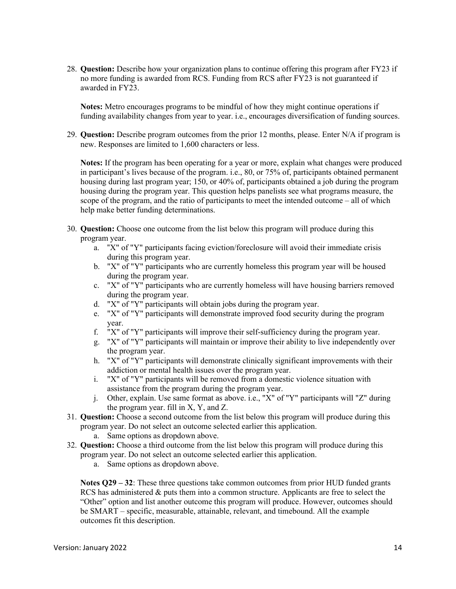28. **Question:** Describe how your organization plans to continue offering this program after FY23 if no more funding is awarded from RCS. Funding from RCS after FY23 is not guaranteed if awarded in FY23.

**Notes:** Metro encourages programs to be mindful of how they might continue operations if funding availability changes from year to year. i.e., encourages diversification of funding sources.

29. **Question:** Describe program outcomes from the prior 12 months, please. Enter N/A if program is new. Responses are limited to 1,600 characters or less.

**Notes:** If the program has been operating for a year or more, explain what changes were produced in participant's lives because of the program. i.e., 80, or 75% of, participants obtained permanent housing during last program year; 150, or 40% of, participants obtained a job during the program housing during the program year. This question helps panelists see what programs measure, the scope of the program, and the ratio of participants to meet the intended outcome – all of which help make better funding determinations.

- 30. **Question:** Choose one outcome from the list below this program will produce during this program year.
	- a. "X" of "Y" participants facing eviction/foreclosure will avoid their immediate crisis during this program year.
	- b. "X" of "Y" participants who are currently homeless this program year will be housed during the program year.
	- c. "X" of "Y" participants who are currently homeless will have housing barriers removed during the program year.
	- d. "X" of "Y" participants will obtain jobs during the program year.
	- e. "X" of "Y" participants will demonstrate improved food security during the program year.
	- f. "X" of "Y" participants will improve their self-sufficiency during the program year.
	- g. "X" of "Y" participants will maintain or improve their ability to live independently over the program year.
	- h. "X" of "Y" participants will demonstrate clinically significant improvements with their addiction or mental health issues over the program year.
	- i. "X" of "Y" participants will be removed from a domestic violence situation with assistance from the program during the program year.
	- j. Other, explain. Use same format as above. i.e., "X" of "Y" participants will "Z" during the program year. fill in X, Y, and Z.
- 31. **Question:** Choose a second outcome from the list below this program will produce during this program year. Do not select an outcome selected earlier this application.
	- a. Same options as dropdown above.
- 32. **Question:** Choose a third outcome from the list below this program will produce during this program year. Do not select an outcome selected earlier this application.
	- a. Same options as dropdown above.

**Notes Q29 – 32**: These three questions take common outcomes from prior HUD funded grants RCS has administered & puts them into a common structure. Applicants are free to select the "Other" option and list another outcome this program will produce. However, outcomes should be SMART – specific, measurable, attainable, relevant, and timebound. All the example outcomes fit this description.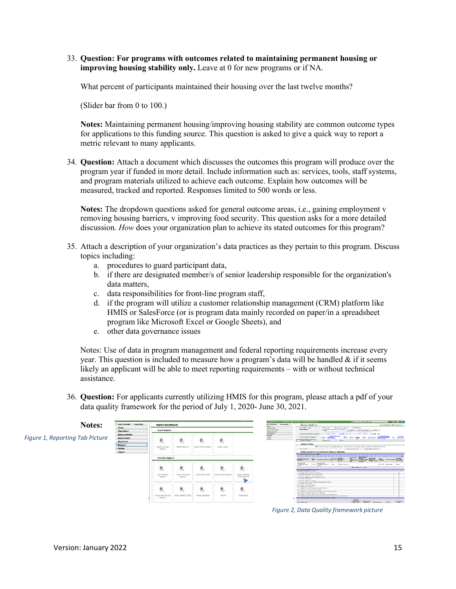33. **Question: For programs with outcomes related to maintaining permanent housing or improving housing stability only.** Leave at 0 for new programs or if NA.

What percent of participants maintained their housing over the last twelve months?

(Slider bar from 0 to 100.)

**Notes:** Maintaining permanent housing/improving housing stability are common outcome types for applications to this funding source. This question is asked to give a quick way to report a metric relevant to many applicants.

34. **Question:** Attach a document which discusses the outcomes this program will produce over the program year if funded in more detail. Include information such as: services, tools, staff systems, and program materials utilized to achieve each outcome. Explain how outcomes will be measured, tracked and reported. Responses limited to 500 words or less.

**Notes:** The dropdown questions asked for general outcome areas, i.e., gaining employment v removing housing barriers, v improving food security. This question asks for a more detailed discussion. *How* does your organization plan to achieve its stated outcomes for this program?

- 35. Attach a description of your organization's data practices as they pertain to this program. Discuss topics including:
	- a. procedures to guard participant data,
	- b. if there are designated member/s of senior leadership responsible for the organization's data matters,
	- c. data responsibilities for front-line program staff,
	- d. if the program will utilize a customer relationship management (CRM) platform like HMIS or SalesForce (or is program data mainly recorded on paper/in a spreadsheet program like Microsoft Excel or Google Sheets), and
	- e. other data governance issues

Notes: Use of data in program management and federal reporting requirements increase every year. This question is included to measure how a program's data will be handled  $\&$  if it seems likely an applicant will be able to meet reporting requirements – with or without technical assistance.

36. **Question:** For applicants currently utilizing HMIS for this program, please attach a pdf of your data quality framework for the period of July 1, 2020- June 30, 2021.



*Figure 2, Data Quality framework picture*